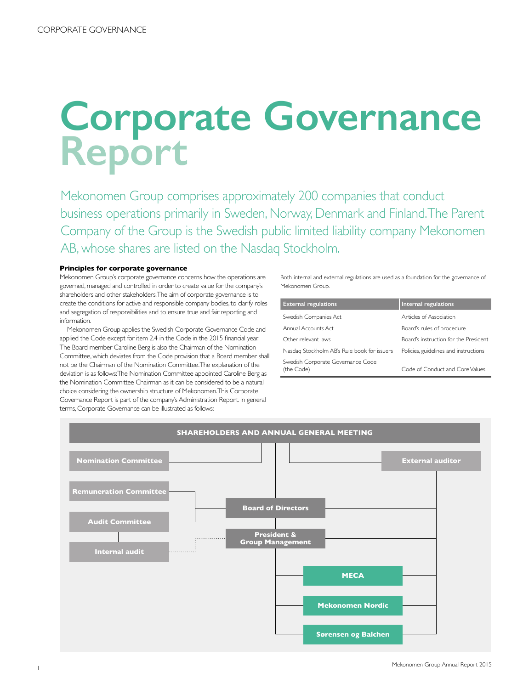# **Corporate Governance Report**

Mekonomen Group comprises approximately 200 companies that conduct business operations primarily in Sweden, Norway, Denmark and Finland. The Parent Company of the Group is the Swedish public limited liability company Mekonomen AB, whose shares are listed on the Nasdaq Stockholm.

# **Principles for corporate governance**

Mekonomen Group's corporate governance concerns how the operations are governed, managed and controlled in order to create value for the company's shareholders and other stakeholders. The aim of corporate governance is to create the conditions for active and responsible company bodies, to clarify roles and segregation of responsibilities and to ensure true and fair reporting and information.

Mekonomen Group applies the Swedish Corporate Governance Code and applied the Code except for item 2.4 in the Code in the 2015 financial year. The Board member Caroline Berg is also the Chairman of the Nomination Committee, which deviates from the Code provision that a Board member shall not be the Chairman of the Nomination Committee. The explanation of the deviation is as follows: The Nomination Committee appointed Caroline Berg as the Nomination Committee Chairman as it can be considered to be a natural choice considering the ownership structure of Mekonomen. This Corporate Governance Report is part of the company's Administration Report. In general terms, Corporate Governance can be illustrated as follows:

Both internal and external regulations are used as a foundation for the governance of Mekonomen Group.

| <b>External regulations</b>                     | Internal regulations                  |
|-------------------------------------------------|---------------------------------------|
| Swedish Companies Act                           | Articles of Association               |
| Annual Accounts Act                             | Board's rules of procedure            |
| Other relevant laws                             | Board's instruction for the President |
| Nasdag Stockholm AB's Rule book for issuers     | Policies, guidelines and instructions |
| Swedish Corporate Governance Code<br>(the Code) | Code of Conduct and Core Values       |

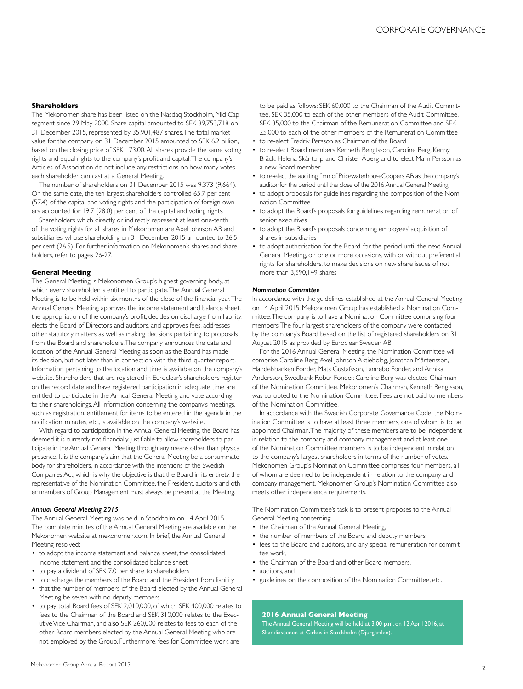#### **Shareholders**

The Mekonomen share has been listed on the Nasdaq Stockholm, Mid Cap segment since 29 May 2000. Share capital amounted to SEK 89,753,718 on 31 December 2015, represented by 35,901,487 shares. The total market value for the company on 31 December 2015 amounted to SEK 6.2 billion, based on the closing price of SEK 173.00. All shares provide the same voting rights and equal rights to the company's profit and capital. The company's Articles of Association do not include any restrictions on how many votes each shareholder can cast at a General Meeting.

The number of shareholders on 31 December 2015 was 9,373 (9,664). On the same date, the ten largest shareholders controlled 65.7 per cent (57.4) of the capital and voting rights and the participation of foreign owners accounted for 19.7 (28.0) per cent of the capital and voting rights.

Shareholders which directly or indirectly represent at least one-tenth of the voting rights for all shares in Mekonomen are Axel Johnson AB and subsidiaries, whose shareholding on 31 December 2015 amounted to 26.5 per cent (26.5). For further information on Mekonomen's shares and shareholders, refer to pages 26-27.

#### **General Meeting**

The General Meeting is Mekonomen Group's highest governing body, at which every shareholder is entitled to participate. The Annual General Meeting is to be held within six months of the close of the financial year. The Annual General Meeting approves the income statement and balance sheet, the appropriation of the company's profit, decides on discharge from liability, elects the Board of Directors and auditors, and approves fees, addresses other statutory matters as well as making decisions pertaining to proposals from the Board and shareholders. The company announces the date and location of the Annual General Meeting as soon as the Board has made its decision, but not later than in connection with the third-quarter report. Information pertaining to the location and time is available on the company's website. Shareholders that are registered in Euroclear's shareholders register on the record date and have registered participation in adequate time are entitled to participate in the Annual General Meeting and vote according to their shareholdings. All information concerning the company's meetings, such as registration, entitlement for items to be entered in the agenda in the notification, minutes, etc., is available on the company's website.

With regard to participation in the Annual General Meeting, the Board has deemed it is currently not financially justifiable to allow shareholders to participate in the Annual General Meeting through any means other than physical presence. It is the company's aim that the General Meeting be a consummate body for shareholders, in accordance with the intentions of the Swedish Companies Act, which is why the objective is that the Board in its entirety, the representative of the Nomination Committee, the President, auditors and other members of Group Management must always be present at the Meeting.

#### *Annual General Meeting 2015*

The Annual General Meeting was held in Stockholm on 14 April 2015. The complete minutes of the Annual General Meeting are available on the Mekonomen website at mekonomen.com. In brief, the Annual General Meeting resolved:

- to adopt the income statement and balance sheet, the consolidated income statement and the consolidated balance sheet
- to pay a dividend of SEK 7.0 per share to shareholders
- to discharge the members of the Board and the President from liability
- that the number of members of the Board elected by the Annual General Meeting be seven with no deputy members
- to pay total Board fees of SEK 2,010,000, of which SEK 400,000 relates to fees to the Chairman of the Board and SEK 310,000 relates to the Executive Vice Chairman, and also SEK 260,000 relates to fees to each of the other Board members elected by the Annual General Meeting who are not employed by the Group. Furthermore, fees for Committee work are

to be paid as follows: SEK 60,000 to the Chairman of the Audit Committee, SEK 35,000 to each of the other members of the Audit Committee, SEK 35,000 to the Chairman of the Remuneration Committee and SEK 25,000 to each of the other members of the Remuneration Committee

- to re-elect Fredrik Persson as Chairman of the Board
- to re-elect Board members Kenneth Bengtsson, Caroline Berg, Kenny Bräck, Helena Skåntorp and Christer Åberg and to elect Malin Persson as a new Board member
- to re-elect the auditing firm of PricewaterhouseCoopers AB as the company's auditor for the period until the close of the 2016 Annual General Meeting
- to adopt proposals for guidelines regarding the composition of the Nomination Committee
- to adopt the Board's proposals for guidelines regarding remuneration of senior executives
- to adopt the Board's proposals concerning employees' acquisition of shares in subsidiaries
- to adopt authorisation for the Board, for the period until the next Annual General Meeting, on one or more occasions, with or without preferential rights for shareholders, to make decisions on new share issues of not more than 3,590,149 shares

#### *Nomination Committee*

In accordance with the guidelines established at the Annual General Meeting on 14 April 2015, Mekonomen Group has established a Nomination Committee. The company is to have a Nomination Committee comprising four members. The four largest shareholders of the company were contacted by the company's Board based on the list of registered shareholders on 31 August 2015 as provided by Euroclear Sweden AB.

For the 2016 Annual General Meeting, the Nomination Committee will comprise Caroline Berg, Axel Johnson Aktiebolag, Jonathan Mårtensson, Handelsbanken Fonder, Mats Gustafsson, Lannebo Fonder, and Annika Andersson, Swedbank Robur Fonder. Caroline Berg was elected Chairman of the Nomination Committee. Mekonomen's Chairman, Kenneth Bengtsson, was co-opted to the Nomination Committee. Fees are not paid to members of the Nomination Committee.

In accordance with the Swedish Corporate Governance Code, the Nomination Committee is to have at least three members, one of whom is to be appointed Chairman. The majority of these members are to be independent in relation to the company and company management and at least one of the Nomination Committee members is to be independent in relation to the company's largest shareholders in terms of the number of votes. Mekonomen Group's Nomination Committee comprises four members, all of whom are deemed to be independent in relation to the company and company management. Mekonomen Group's Nomination Committee also meets other independence requirements.

The Nomination Committee's task is to present proposes to the Annual General Meeting concerning:

- the Chairman of the Annual General Meeting,
- the number of members of the Board and deputy members,
- fees to the Board and auditors, and any special remuneration for committee work,
- the Chairman of the Board and other Board members,
- auditors and
- guidelines on the composition of the Nomination Committee, etc.

# **2016 Annual General Meeting**

The Annual General Meeting will be held at 3:00 p.m. on 12 April 2016, at Skandiascenen at Cirkus in Stockholm (Djurgården).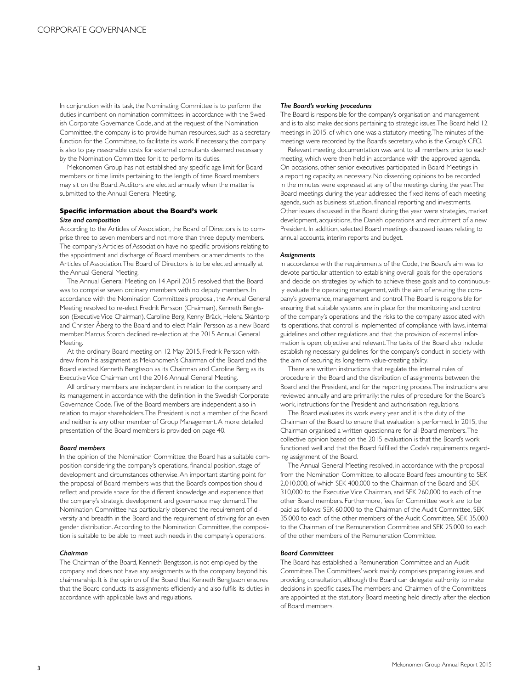In conjunction with its task, the Nominating Committee is to perform the duties incumbent on nomination committees in accordance with the Swedish Corporate Governance Code, and at the request of the Nomination Committee, the company is to provide human resources, such as a secretary function for the Committee, to facilitate its work. If necessary, the company is also to pay reasonable costs for external consultants deemed necessary by the Nomination Committee for it to perform its duties.

Mekonomen Group has not established any specific age limit for Board members or time limits pertaining to the length of time Board members may sit on the Board. Auditors are elected annually when the matter is submitted to the Annual General Meeting.

# **Specific information about the Board's work** *Size and composition*

According to the Articles of Association, the Board of Directors is to comprise three to seven members and not more than three deputy members. The company's Articles of Association have no specific provisions relating to the appointment and discharge of Board members or amendments to the Articles of Association. The Board of Directors is to be elected annually at the Annual General Meeting.

The Annual General Meeting on 14 April 2015 resolved that the Board was to comprise seven ordinary members with no deputy members. In accordance with the Nomination Committee's proposal, the Annual General Meeting resolved to re-elect Fredrik Persson (Chairman), Kenneth Bengtsson (Executive Vice Chairman), Caroline Berg, Kenny Bräck, Helena Skåntorp and Christer Åberg to the Board and to elect Malin Persson as a new Board member. Marcus Storch declined re-election at the 2015 Annual General Meeting.

At the ordinary Board meeting on 12 May 2015, Fredrik Persson withdrew from his assignment as Mekonomen's Chairman of the Board and the Board elected Kenneth Bengtsson as its Chairman and Caroline Berg as its Executive Vice Chairman until the 2016 Annual General Meeting.

All ordinary members are independent in relation to the company and its management in accordance with the definition in the Swedish Corporate Governance Code. Five of the Board members are independent also in relation to major shareholders. The President is not a member of the Board and neither is any other member of Group Management. A more detailed presentation of the Board members is provided on page 40.

#### *Board members*

In the opinion of the Nomination Committee, the Board has a suitable composition considering the company's operations, financial position, stage of development and circumstances otherwise. An important starting point for the proposal of Board members was that the Board's composition should reflect and provide space for the different knowledge and experience that the company's strategic development and governance may demand. The Nomination Committee has particularly observed the requirement of diversity and breadth in the Board and the requirement of striving for an even gender distribution. According to the Nomination Committee, the composition is suitable to be able to meet such needs in the company's operations.

# *Chairman*

The Chairman of the Board, Kenneth Bengtsson, is not employed by the company and does not have any assignments with the company beyond his chairmanship. It is the opinion of the Board that Kenneth Bengtsson ensures that the Board conducts its assignments efficiently and also fulfils its duties in accordance with applicable laws and regulations.

#### *The Board's working procedures*

The Board is responsible for the company's organisation and management and is to also make decisions pertaining to strategic issues. The Board held 12 meetings in 2015, of which one was a statutory meeting. The minutes of the meetings were recorded by the Board's secretary, who is the Group's CFO.

Relevant meeting documentation was sent to all members prior to each meeting, which were then held in accordance with the approved agenda. On occasions, other senior executives participated in Board Meetings in a reporting capacity, as necessary. No dissenting opinions to be recorded in the minutes were expressed at any of the meetings during the year. The Board meetings during the year addressed the fixed items of each meeting agenda, such as business situation, financial reporting and investments. Other issues discussed in the Board during the year were strategies, market development, acquisitions, the Danish operations and recruitment of a new President. In addition, selected Board meetings discussed issues relating to annual accounts, interim reports and budget.

#### *Assignments*

In accordance with the requirements of the Code, the Board's aim was to devote particular attention to establishing overall goals for the operations and decide on strategies by which to achieve these goals and to continuously evaluate the operating management, with the aim of ensuring the company's governance, management and control. The Board is responsible for ensuring that suitable systems are in place for the monitoring and control of the company's operations and the risks to the company associated with its operations, that control is implemented of compliance with laws, internal guidelines and other regulations and that the provision of external information is open, objective and relevant. The tasks of the Board also include establishing necessary guidelines for the company's conduct in society with the aim of securing its long-term value-creating ability.

There are written instructions that regulate the internal rules of procedure in the Board and the distribution of assignments between the Board and the President, and for the reporting process. The instructions are reviewed annually and are primarily: the rules of procedure for the Board's work, instructions for the President and authorisation regulations.

The Board evaluates its work every year and it is the duty of the Chairman of the Board to ensure that evaluation is performed. In 2015, the Chairman organised a written questionnaire for all Board members. The collective opinion based on the 2015 evaluation is that the Board's work functioned well and that the Board fulfilled the Code's requirements regarding assignment of the Board.

The Annual General Meeting resolved, in accordance with the proposal from the Nomination Committee, to allocate Board fees amounting to SEK 2,010,000, of which SEK 400,000 to the Chairman of the Board and SEK 310,000 to the Executive Vice Chairman, and SEK 260,000 to each of the other Board members. Furthermore, fees for Committee work are to be paid as follows: SEK 60,000 to the Chairman of the Audit Committee, SEK 35,000 to each of the other members of the Audit Committee, SEK 35,000 to the Chairman of the Remuneration Committee and SEK 25,000 to each of the other members of the Remuneration Committee.

# *Board Committees*

The Board has established a Remuneration Committee and an Audit Committee. The Committees' work mainly comprises preparing issues and providing consultation, although the Board can delegate authority to make decisions in specific cases. The members and Chairmen of the Committees are appointed at the statutory Board meeting held directly after the election of Board members.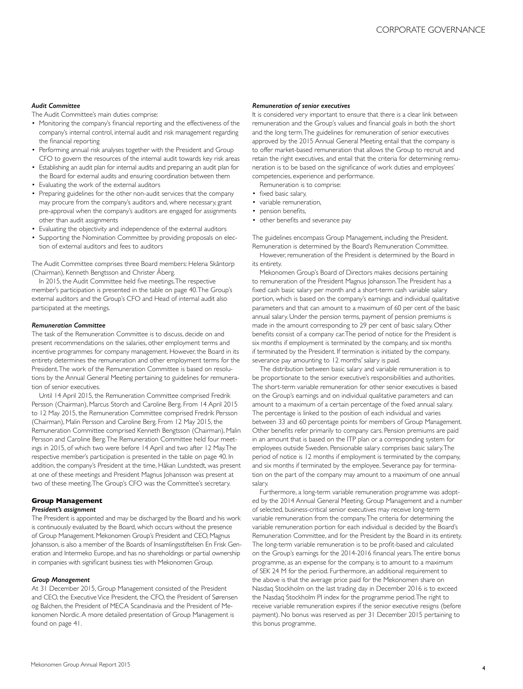### *Audit Committee*

The Audit Committee's main duties comprise:

- Monitoring the company's financial reporting and the effectiveness of the company's internal control, internal audit and risk management regarding the financial reporting
- Performing annual risk analyses together with the President and Group CFO to govern the resources of the internal audit towards key risk areas
- Establishing an audit plan for internal audits and preparing an audit plan for the Board for external audits and ensuring coordination between them
- Evaluating the work of the external auditors
- Preparing guidelines for the other non-audit services that the company may procure from the company's auditors and, where necessary, grant pre-approval when the company's auditors are engaged for assignments other than audit assignments
- Evaluating the objectivity and independence of the external auditors
- Supporting the Nomination Committee by providing proposals on election of external auditors and fees to auditors

The Audit Committee comprises three Board members: Helena Skåntorp (Chairman), Kenneth Bengtsson and Christer Åberg.

In 2015, the Audit Committee held five meetings. The respective member's participation is presented in the table on page 40. The Group's external auditors and the Group's CFO and Head of internal audit also participated at the meetings.

#### *Remuneration Committee*

The task of the Remuneration Committee is to discuss, decide on and present recommendations on the salaries, other employment terms and incentive programmes for company management. However, the Board in its entirety determines the remuneration and other employment terms for the President. The work of the Remuneration Committee is based on resolutions by the Annual General Meeting pertaining to guidelines for remuneration of senior executives.

Until 14 April 2015, the Remuneration Committee comprised Fredrik Persson (Chairman), Marcus Storch and Caroline Berg. From 14 April 2015 to 12 May 2015, the Remuneration Committee comprised Fredrik Persson (Chairman), Malin Persson and Caroline Berg. From 12 May 2015, the Remuneration Committee comprised Kenneth Bengtsson (Chairman), Malin Persson and Caroline Berg. The Remuneration Committee held four meetings in 2015, of which two were before 14 April and two after 12 May. The respective member's participation is presented in the table on page 40. In addition, the company's President at the time, Håkan Lundstedt, was present at one of these meetings and President Magnus Johansson was present at two of these meeting. The Group's CFO was the Committee's secretary.

#### **Group Management** *President's assignment*

The President is appointed and may be discharged by the Board and his work is continuously evaluated by the Board, which occurs without the presence of Group Management. Mekonomen Group's President and CEO, Magnus Johansson, is also a member of the Boards of Insamlingsstiftelsen En Frisk Generation and Intermeko Europe, and has no shareholdings or partial ownership in companies with significant business ties with Mekonomen Group.

## *Group Management*

At 31 December 2015, Group Management consisted of the President and CEO, the Executive Vice President, the CFO, the President of Sørensen og Balchen, the President of MECA Scandinavia and the President of Mekonomen Nordic. A more detailed presentation of Group Management is found on page 41.

#### *Remuneration of senior executives*

It is considered very important to ensure that there is a clear link between remuneration and the Group's values and financial goals in both the short and the long term. The guidelines for remuneration of senior executives approved by the 2015 Annual General Meeting entail that the company is to offer market-based remuneration that allows the Group to recruit and retain the right executives, and entail that the criteria for determining remuneration is to be based on the significance of work duties and employees' competencies, experience and performance.

Remuneration is to comprise:

- fixed basic salary,
- variable remuneration,
- pension benefits,
- other benefits and severance pay

The guidelines encompass Group Management, including the President. Remuneration is determined by the Board's Remuneration Committee.

However, remuneration of the President is determined by the Board in its entirety.

Mekonomen Group's Board of Directors makes decisions pertaining to remuneration of the President Magnus Johansson. The President has a fixed cash basic salary per month and a short-term cash variable salary portion, which is based on the company's earnings and individual qualitative parameters and that can amount to a maximum of 60 per cent of the basic annual salary. Under the pension terms, payment of pension premiums is made in the amount corresponding to 29 per cent of basic salary. Other benefits consist of a company car. The period of notice for the President is six months if employment is terminated by the company, and six months if terminated by the President. If termination is initiated by the company, severance pay amounting to 12 months' salary is paid.

The distribution between basic salary and variable remuneration is to be proportionate to the senior executive's responsibilities and authorities. The short-term variable remuneration for other senior executives is based on the Group's earnings and on individual qualitative parameters and can amount to a maximum of a certain percentage of the fixed annual salary. The percentage is linked to the position of each individual and varies between 33 and 60 percentage points for members of Group Management. Other benefits refer primarily to company cars. Pension premiums are paid in an amount that is based on the ITP plan or a corresponding system for employees outside Sweden. Pensionable salary comprises basic salary. The period of notice is 12 months if employment is terminated by the company, and six months if terminated by the employee. Severance pay for termination on the part of the company may amount to a maximum of one annual salary.

Furthermore, a long-term variable remuneration programme was adopted by the 2014 Annual General Meeting. Group Management and a number of selected, business-critical senior executives may receive long-term variable remuneration from the company. The criteria for determining the variable remuneration portion for each individual is decided by the Board's Remuneration Committee, and for the President by the Board in its entirety. The long-term variable remuneration is to be profit-based and calculated on the Group's earnings for the 2014-2016 financial years. The entire bonus programme, as an expense for the company, is to amount to a maximum of SEK 24 M for the period. Furthermore, an additional requirement to the above is that the average price paid for the Mekonomen share on Nasdaq Stockholm on the last trading day in December 2016 is to exceed the Nasdaq Stockholm PI index for the programme period. The right to receive variable remuneration expires if the senior executive resigns (before payment). No bonus was reserved as per 31 December 2015 pertaining to this bonus programme.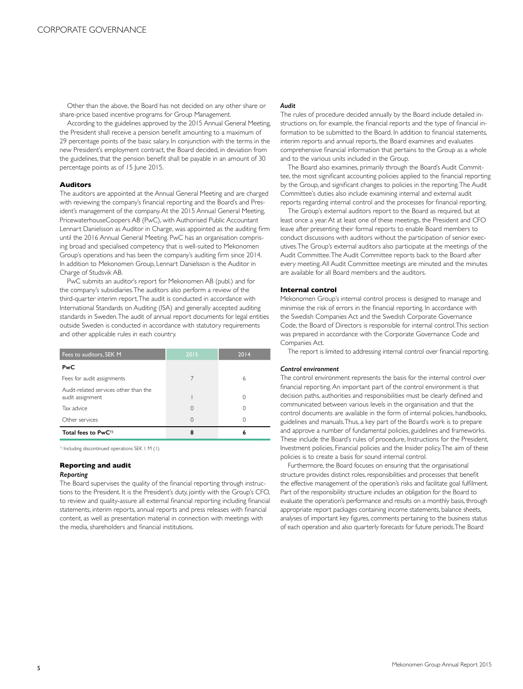Other than the above, the Board has not decided on any other share or share-price based incentive programs for Group Management.

According to the guidelines approved by the 2015 Annual General Meeting, the President shall receive a pension benefit amounting to a maximum of 29 percentage points of the basic salary. In conjunction with the terms in the new President's employment contract, the Board decided, in deviation from the guidelines, that the pension benefit shall be payable in an amount of 30 percentage points as of 15 June 2015.

#### **Auditors**

The auditors are appointed at the Annual General Meeting and are charged with reviewing the company's financial reporting and the Board's and President's management of the company. At the 2015 Annual General Meeting, PricewaterhouseCoopers AB (PwC), with Authorised Public Accountant Lennart Danielsson as Auditor in Charge, was appointed as the auditing firm until the 2016 Annual General Meeting. PwC has an organisation comprising broad and specialised competency that is well-suited to Mekonomen Group's operations and has been the company's auditing firm since 2014. In addition to Mekonomen Group, Lennart Danielsson is the Auditor in Charge of Studsvik AB.

PwC submits an auditor's report for Mekonomen AB (publ.) and for the company's subsidiaries. The auditors also perform a review of the third-quarter interim report. The audit is conducted in accordance with International Standards on Auditing (ISA) and generally accepted auditing standards in Sweden. The audit of annual report documents for legal entities outside Sweden is conducted in accordance with statutory requirements and other applicable rules in each country.

| Fees to auditors, SEK M                                   | 2015     | 2014 |
|-----------------------------------------------------------|----------|------|
| PwC                                                       |          |      |
| Fees for audit assignments                                |          | 6    |
| Audit-related services other than the<br>audit assignment |          | 0    |
| Tax advice                                                | 0        | 0    |
| Other services                                            | $\Omega$ | Ω    |
| Total fees to PwC <sup>1)</sup>                           | 8        | 6    |

<sup>1)</sup> Including discontinued operations SEK 1 M (1).

# **Reporting and audit**

#### *Reporting*

The Board supervises the quality of the financial reporting through instructions to the President. It is the President's duty, jointly with the Group's CFO, to review and quality-assure all external financial reporting including financial statements, interim reports, annual reports and press releases with financial content, as well as presentation material in connection with meetings with the media, shareholders and financial institutions.

# *Audit*

The rules of procedure decided annually by the Board include detailed instructions on, for example, the financial reports and the type of financial information to be submitted to the Board. In addition to financial statements, interim reports and annual reports, the Board examines and evaluates comprehensive financial information that pertains to the Group as a whole and to the various units included in the Group.

The Board also examines, primarily through the Board's Audit Committee, the most significant accounting policies applied to the financial reporting by the Group, and significant changes to policies in the reporting. The Audit Committee's duties also include examining internal and external audit reports regarding internal control and the processes for financial reporting.

The Group's external auditors report to the Board as required, but at least once a year. At at least one of these meetings, the President and CFO leave after presenting their formal reports to enable Board members to conduct discussions with auditors without the participation of senior executives. The Group's external auditors also participate at the meetings of the Audit Committee. The Audit Committee reports back to the Board after every meeting. All Audit Committee meetings are minuted and the minutes are available for all Board members and the auditors.

#### **Internal control**

Mekonomen Group's internal control process is designed to manage and minimise the risk of errors in the financial reporting. In accordance with the Swedish Companies Act and the Swedish Corporate Governance Code, the Board of Directors is responsible for internal control. This section was prepared in accordance with the Corporate Governance Code and Companies Act.

The report is limited to addressing internal control over financial reporting.

#### *Control environment*

The control environment represents the basis for the internal control over financial reporting. An important part of the control environment is that decision paths, authorities and responsibilities must be clearly defined and communicated between various levels in the organisation and that the control documents are available in the form of internal policies, handbooks, guidelines and manuals. Thus, a key part of the Board's work is to prepare and approve a number of fundamental policies, guidelines and frameworks. These include the Board's rules of procedure, Instructions for the President, Investment policies, Financial policies and the Insider policy. The aim of these policies is to create a basis for sound internal control.

Furthermore, the Board focuses on ensuring that the organisational structure provides distinct roles, responsibilities and processes that benefit the effective management of the operation's risks and facilitate goal fulfilment. Part of the responsibility structure includes an obligation for the Board to evaluate the operation's performance and results on a monthly basis, through appropriate report packages containing income statements, balance sheets, analyses of important key figures, comments pertaining to the business status of each operation and also quarterly forecasts for future periods. The Board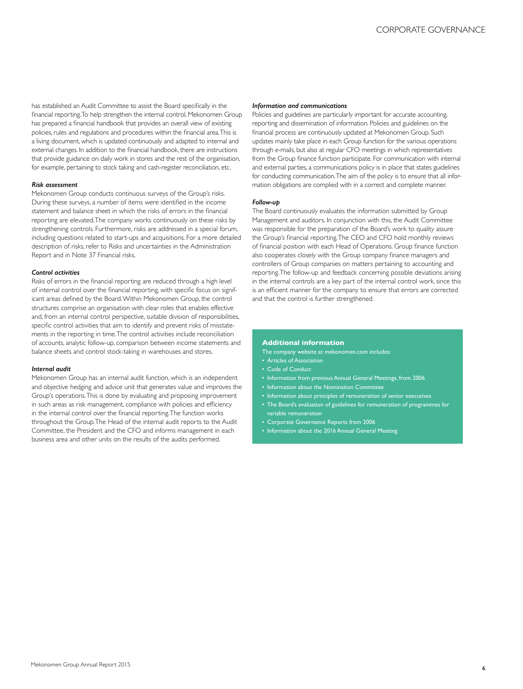has established an Audit Committee to assist the Board specifically in the financial reporting. To help strengthen the internal control, Mekonomen Group has prepared a financial handbook that provides an overall view of existing policies, rules and regulations and procedures within the financial area. This is a living document, which is updated continuously and adapted to internal and external changes. In addition to the financial handbook, there are instructions that provide guidance on daily work in stores and the rest of the organisation, for example, pertaining to stock taking and cash-register reconciliation, etc.

#### *Risk assessment*

Mekonomen Group conducts continuous surveys of the Group's risks. During these surveys, a number of items were identified in the income statement and balance sheet in which the risks of errors in the financial reporting are elevated. The company works continuously on these risks by strengthening controls. Furthermore, risks are addressed in a special forum, including questions related to start-ups and acquisitions. For a more detailed description of risks, refer to Risks and uncertainties in the Administration Report and in Note 37 Financial risks.

#### *Control activities*

Risks of errors in the financial reporting are reduced through a high level of internal control over the financial reporting, with specific focus on significant areas defined by the Board. Within Mekonomen Group, the control structures comprise an organisation with clear roles that enables effective and, from an internal control perspective, suitable division of responsibilities, specific control activities that aim to identify and prevent risks of misstatements in the reporting in time. The control activities include reconciliation of accounts, analytic follow-up, comparison between income statements and balance sheets and control stock-taking in warehouses and stores.

#### *Internal audit*

Mekonomen Group has an internal audit function, which is an independent and objective hedging and advice unit that generates value and improves the Group's operations. This is done by evaluating and proposing improvement in such areas as risk management, compliance with policies and efficiency in the internal control over the financial reporting. The function works throughout the Group. The Head of the internal audit reports to the Audit Committee, the President and the CFO and informs management in each business area and other units on the results of the audits performed.

#### *Information and communications*

Policies and guidelines are particularly important for accurate accounting, reporting and dissemination of information. Policies and guidelines on the financial process are continuously updated at Mekonomen Group. Such updates mainly take place in each Group function for the various operations through e-mails, but also at regular CFO meetings in which representatives from the Group finance function participate. For communication with internal and external parties, a communications policy is in place that states guidelines for conducting communication. The aim of the policy is to ensure that all information obligations are complied with in a correct and complete manner.

### *Follow-up*

The Board continuously evaluates the information submitted by Group Management and auditors. In conjunction with this, the Audit Committee was responsible for the preparation of the Board's work to quality assure the Group's financial reporting. The CEO and CFO hold monthly reviews of financial position with each Head of Operations. Group finance function also cooperates closely with the Group company finance managers and controllers of Group companies on matters pertaining to accounting and reporting. The follow-up and feedback concerning possible deviations arising in the internal controls are a key part of the internal control work, since this is an efficient manner for the company to ensure that errors are corrected and that the control is further strengthened.

#### **Additional information**

The company website at mekonomen.com includes:

- Articles of Association
- Code of Conduct
- Information from previous Annual General Meetings, from 2006
- Information about the Nomination Committee
- Information about principles of remuneration of senior executives
- The Board's evaluation of guidelines for remuneration of programmes for variable remuneration
- Corporate Governance Reports from 2006
- Information about the 2016 Annual General Meeting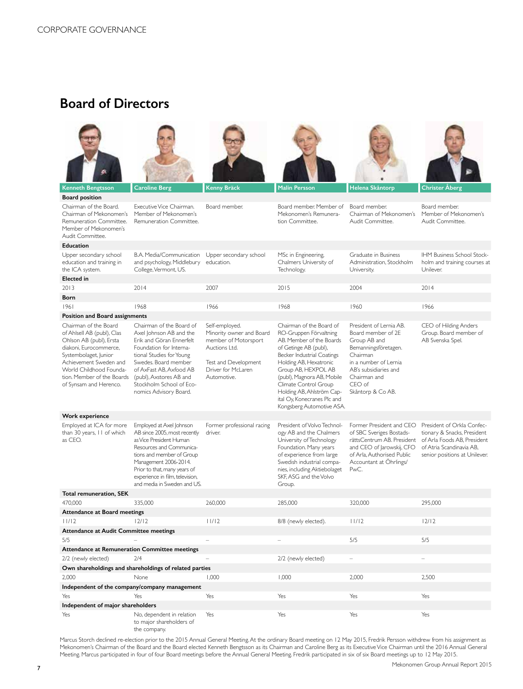# **Board of Directors**



| <b>Kenneth Bengtsson</b>                                                                                                                                                                                                                       | Caroline Berg                                                                                                                                                                                                                                                              | Kenny Bräck                                                                                                                                      | Malin Persson                                                                                                                                                                                                                                                                                                                          | Helena Skåntorp                                                                                                                                                                                      | <b>Christer Aberg</b>                                                                                                                                 |  |
|------------------------------------------------------------------------------------------------------------------------------------------------------------------------------------------------------------------------------------------------|----------------------------------------------------------------------------------------------------------------------------------------------------------------------------------------------------------------------------------------------------------------------------|--------------------------------------------------------------------------------------------------------------------------------------------------|----------------------------------------------------------------------------------------------------------------------------------------------------------------------------------------------------------------------------------------------------------------------------------------------------------------------------------------|------------------------------------------------------------------------------------------------------------------------------------------------------------------------------------------------------|-------------------------------------------------------------------------------------------------------------------------------------------------------|--|
| <b>Board position</b>                                                                                                                                                                                                                          |                                                                                                                                                                                                                                                                            |                                                                                                                                                  |                                                                                                                                                                                                                                                                                                                                        |                                                                                                                                                                                                      |                                                                                                                                                       |  |
| Chairman of the Board.<br>Chairman of Mekonomen's<br>Remuneration Committee.<br>Member of Mekonomen's<br>Audit Committee.                                                                                                                      | Executive Vice Chairman.<br>Member of Mekonomen's<br>Remuneration Committee.                                                                                                                                                                                               | Board member.                                                                                                                                    | Board member. Member of<br>Mekonomen's Remunera-<br>tion Committee.                                                                                                                                                                                                                                                                    | Board member.<br>Chairman of Mekonomen's<br>Audit Committee.                                                                                                                                         | Board member.<br>Member of Mekonomen's<br>Audit Committee.                                                                                            |  |
| <b>Education</b>                                                                                                                                                                                                                               |                                                                                                                                                                                                                                                                            |                                                                                                                                                  |                                                                                                                                                                                                                                                                                                                                        |                                                                                                                                                                                                      |                                                                                                                                                       |  |
| Upper secondary school<br>education and training in<br>the ICA system.                                                                                                                                                                         | B.A. Media/Communication Upper secondary school<br>and psychology, Middlebury education.<br>College, Vermont, US.                                                                                                                                                          |                                                                                                                                                  | MSc in Engineering,<br>Chalmers University of<br>Technology.                                                                                                                                                                                                                                                                           | Graduate in Business<br>Administration, Stockholm<br>University.                                                                                                                                     | IHM Business School Stock-<br>holm and training courses at<br>Unilever.                                                                               |  |
| <b>Elected</b> in                                                                                                                                                                                                                              |                                                                                                                                                                                                                                                                            |                                                                                                                                                  |                                                                                                                                                                                                                                                                                                                                        |                                                                                                                                                                                                      |                                                                                                                                                       |  |
| 2013                                                                                                                                                                                                                                           | 2014                                                                                                                                                                                                                                                                       | 2007                                                                                                                                             | 2015                                                                                                                                                                                                                                                                                                                                   | 2004                                                                                                                                                                                                 | 2014                                                                                                                                                  |  |
| Born                                                                                                                                                                                                                                           |                                                                                                                                                                                                                                                                            |                                                                                                                                                  |                                                                                                                                                                                                                                                                                                                                        |                                                                                                                                                                                                      |                                                                                                                                                       |  |
| 1961                                                                                                                                                                                                                                           | 1968                                                                                                                                                                                                                                                                       | 1966                                                                                                                                             | 1968                                                                                                                                                                                                                                                                                                                                   | 1960                                                                                                                                                                                                 | 1966                                                                                                                                                  |  |
| <b>Position and Board assignments</b>                                                                                                                                                                                                          |                                                                                                                                                                                                                                                                            |                                                                                                                                                  |                                                                                                                                                                                                                                                                                                                                        |                                                                                                                                                                                                      |                                                                                                                                                       |  |
| Chairman of the Board<br>of Ahlsell AB (publ), Clas<br>Ohlson AB (publ), Ersta<br>diakoni, Eurocommerce,<br>Systembolaget, Junior<br>Achievement Sweden and<br>World Childhood Founda-<br>tion. Member of the Boards<br>of Synsam and Herenco. | Chairman of the Board of<br>Axel Johnson AB and the<br>Erik and Göran Ennerfelt<br>Foundation for Interna-<br>tional Studies for Young<br>Swedes. Board member<br>of AxFast AB, Axfood AB<br>(publ), Axstores AB and<br>Stockholm School of Eco-<br>nomics Advisory Board. | Self-employed.<br>Minority owner and Board<br>member of Motorsport<br>Auctions Ltd.<br>Test and Development<br>Driver for McLaren<br>Automotive. | Chairman of the Board of<br>RO-Gruppen Förvaltning<br>AB. Member of the Boards<br>of Getinge AB (publ),<br>Becker Industrial Coatings<br>Holding AB, Hexatronic<br>Group AB, HEXPOL AB<br>(publ), Magnora AB, Mobile<br>Climate Control Group<br>Holding AB, Ahlström Cap-<br>ital Oy, Konecranes Plc and<br>Kongsberg Automotive ASA. | President of Lernia AB.<br>Board member of 2E<br>Group AB and<br>Bemanningsföretagen.<br>Chairman<br>in a number of Lernia<br>AB's subsidiaries and<br>Chairman and<br>$CFO$ of<br>Skåntorp & Co AB. | CEO of Hilding Anders<br>Group. Board member of<br>AB Svenska Spel.                                                                                   |  |
| Work experience                                                                                                                                                                                                                                |                                                                                                                                                                                                                                                                            |                                                                                                                                                  |                                                                                                                                                                                                                                                                                                                                        |                                                                                                                                                                                                      |                                                                                                                                                       |  |
| Employed at ICA for more<br>than 30 years, II of which<br>as CEO.                                                                                                                                                                              | Employed at Axel Johnson<br>AB since 2005, most recently<br>as Vice President Human<br>Resources and Communica-<br>tions and member of Group<br>Management 2006-2014.<br>Prior to that, many years of<br>experience in film, television,<br>and media in Sweden and US.    | Former professional racing<br>driver.                                                                                                            | President of Volvo Technol-<br>ogy AB and the Chalmers<br>University of Technology<br>Foundation. Many years<br>of experience from large<br>Swedish industrial compa-<br>nies, including Aktiebolaget<br>SKF, ASG and the Volvo<br>Group.                                                                                              | Former President and CEO<br>of SBC Sveriges Bostads-<br>rättsCentrum AB. President<br>and CEO of Jarowskij, CFO<br>of Arla, Authorised Public<br>Accountant at Öhrlings/<br>PwC.                     | President of Orkla Confec-<br>tionary & Snacks, President<br>of Arla Foods AB, President<br>of Atria Scandinavia AB,<br>senior positions at Unilever. |  |
| Total remuneration, SEK                                                                                                                                                                                                                        |                                                                                                                                                                                                                                                                            |                                                                                                                                                  |                                                                                                                                                                                                                                                                                                                                        |                                                                                                                                                                                                      |                                                                                                                                                       |  |
| 470,000                                                                                                                                                                                                                                        | 335,000                                                                                                                                                                                                                                                                    | 260,000                                                                                                                                          | 285.000                                                                                                                                                                                                                                                                                                                                | 320.000                                                                                                                                                                                              | 295.000                                                                                                                                               |  |
| Attendance at Board meetings                                                                                                                                                                                                                   |                                                                                                                                                                                                                                                                            |                                                                                                                                                  |                                                                                                                                                                                                                                                                                                                                        |                                                                                                                                                                                                      |                                                                                                                                                       |  |
| 11/12                                                                                                                                                                                                                                          | 12/12                                                                                                                                                                                                                                                                      | 11/12                                                                                                                                            | 8/8 (newly elected).                                                                                                                                                                                                                                                                                                                   | 11/12                                                                                                                                                                                                | 12/12                                                                                                                                                 |  |
| <b>Attendance at Audit Committee meetings</b>                                                                                                                                                                                                  |                                                                                                                                                                                                                                                                            |                                                                                                                                                  |                                                                                                                                                                                                                                                                                                                                        |                                                                                                                                                                                                      |                                                                                                                                                       |  |
| 5/5                                                                                                                                                                                                                                            |                                                                                                                                                                                                                                                                            | ÷                                                                                                                                                |                                                                                                                                                                                                                                                                                                                                        | 5/5                                                                                                                                                                                                  | 5/5                                                                                                                                                   |  |
| Attendance at Remuneration Committee meetings                                                                                                                                                                                                  |                                                                                                                                                                                                                                                                            |                                                                                                                                                  |                                                                                                                                                                                                                                                                                                                                        |                                                                                                                                                                                                      |                                                                                                                                                       |  |
| 2/2 (newly elected)                                                                                                                                                                                                                            | 2/4                                                                                                                                                                                                                                                                        |                                                                                                                                                  | 2/2 (newly elected)                                                                                                                                                                                                                                                                                                                    | $\equiv$                                                                                                                                                                                             | ÷,                                                                                                                                                    |  |
| Own shareholdings and shareholdings of related parties                                                                                                                                                                                         |                                                                                                                                                                                                                                                                            |                                                                                                                                                  |                                                                                                                                                                                                                                                                                                                                        |                                                                                                                                                                                                      |                                                                                                                                                       |  |
| 2,000                                                                                                                                                                                                                                          | None                                                                                                                                                                                                                                                                       | 1.000                                                                                                                                            | 1.000                                                                                                                                                                                                                                                                                                                                  | 2.000                                                                                                                                                                                                | 2.500                                                                                                                                                 |  |
| Independent of the company/company management                                                                                                                                                                                                  |                                                                                                                                                                                                                                                                            |                                                                                                                                                  |                                                                                                                                                                                                                                                                                                                                        |                                                                                                                                                                                                      |                                                                                                                                                       |  |
| Yes                                                                                                                                                                                                                                            | Yes                                                                                                                                                                                                                                                                        | Yes                                                                                                                                              | Yes                                                                                                                                                                                                                                                                                                                                    | Yes                                                                                                                                                                                                  | Yes                                                                                                                                                   |  |
| Independent of major shareholders                                                                                                                                                                                                              |                                                                                                                                                                                                                                                                            |                                                                                                                                                  |                                                                                                                                                                                                                                                                                                                                        |                                                                                                                                                                                                      |                                                                                                                                                       |  |
| Yes                                                                                                                                                                                                                                            | No, dependent in relation<br>to major shareholders of                                                                                                                                                                                                                      | Yes                                                                                                                                              | Yes                                                                                                                                                                                                                                                                                                                                    | Yes                                                                                                                                                                                                  | Yes                                                                                                                                                   |  |

the company.

Marcus Storch declined re-election prior to the 2015 Annual General Meeting. At the ordinary Board meeting on 12 May 2015, Fredrik Persson withdrew from his assignment as Mekonomen's Chairman of the Board and the Board elected Kenneth Bengtsson as its Chairman and Caroline Berg as its Executive Vice Chairman until the 2016 Annual General Meeting. Marcus participated in four of four Board meetings before the Annual General Meeting. Fredrik participated in six of six Board meetings up to 12 May 2015.